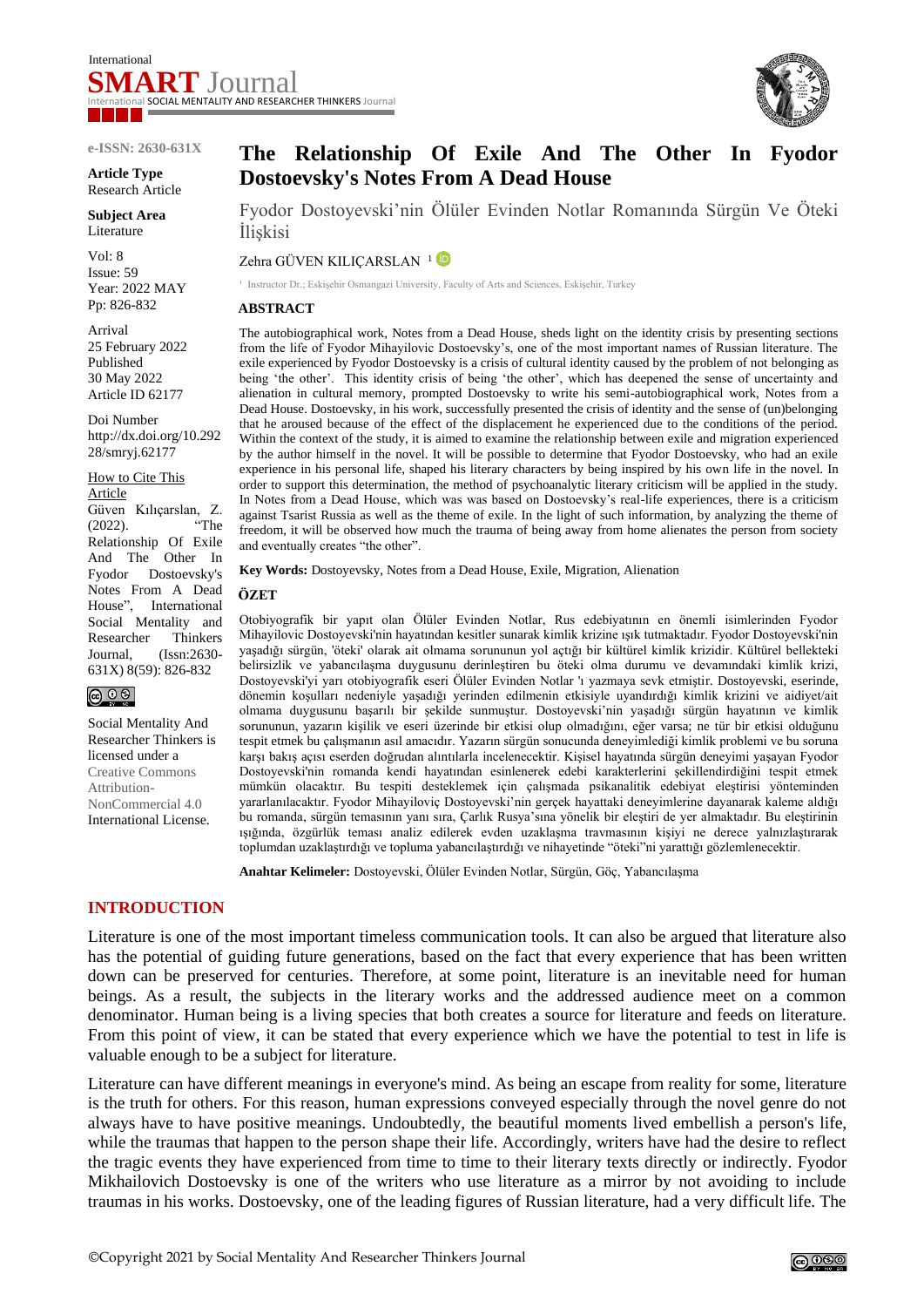

#### **e-ISSN: 2630-631X**

**Article Type** Research Article

**Subject Area** Literature

Vol: 8 Issue: 59 Year: 2022 MAY Pp: 826-832

Arrival 25 February 2022 Published 30 May 2022 Article ID 62177

Doi Number http://dx.doi.org/10.292 28/smryj.62177

How to Cite This Article Güven Kılıçarslan, Z. (2022). "The Relationship Of Exile And The Other In Fyodor Dostoevsky's Notes From A Dead House", International Social Mentality and Researcher Thinkers Journal, (Issn:2630- 631X) 8(59): 826-832

 $\circledcirc$ 

Social Mentality And Researcher Thinkers is licensed under a Creative Commons Attribution-NonCommercial 4.0 International License.

# **The Relationship Of Exile And The Other In Fyodor Dostoevsky's Notes From A Dead House**

Fyodor Dostoyevski'nin Ölüler Evinden Notlar Romanında Sürgün Ve Öteki İlişkisi

Zehra GÜVEN KILICARSLAN<sup>1</sup>

<sup>1</sup> Instructor Dr.; Eskişehir Osmangazi University, Faculty of Arts and Sciences, Eskişehir, Turkey

#### **ABSTRACT**

The autobiographical work, Notes from a Dead House, sheds light on the identity crisis by presenting sections from the life of Fyodor Mihayilovic Dostoevsky's, one of the most important names of Russian literature. The exile experienced by Fyodor Dostoevsky is a crisis of cultural identity caused by the problem of not belonging as being 'the other'. This identity crisis of being 'the other', which has deepened the sense of uncertainty and alienation in cultural memory, prompted Dostoevsky to write his semi-autobiographical work, Notes from a Dead House. Dostoevsky, in his work, successfully presented the crisis of identity and the sense of (un)belonging that he aroused because of the effect of the displacement he experienced due to the conditions of the period. Within the context of the study, it is aimed to examine the relationship between exile and migration experienced by the author himself in the novel. It will be possible to determine that Fyodor Dostoevsky, who had an exile experience in his personal life, shaped his literary characters by being inspired by his own life in the novel. In order to support this determination, the method of psychoanalytic literary criticism will be applied in the study. In Notes from a Dead House, which was was based on Dostoevsky's real-life experiences, there is a criticism against Tsarist Russia as well as the theme of exile. In the light of such information, by analyzing the theme of freedom, it will be observed how much the trauma of being away from home alienates the person from society and eventually creates "the other".

**Key Words:** Dostoyevsky, Notes from a Dead House, Exile, Migration, Alienation

#### **ÖZET**

Otobiyografik bir yapıt olan Ölüler Evinden Notlar, Rus edebiyatının en önemli isimlerinden Fyodor Mihayilovic Dostoyevski'nin hayatından kesitler sunarak kimlik krizine ışık tutmaktadır. Fyodor Dostoyevski'nin yaşadığı sürgün, 'öteki' olarak ait olmama sorununun yol açtığı bir kültürel kimlik krizidir. Kültürel bellekteki belirsizlik ve yabancılaşma duygusunu derinleştiren bu öteki olma durumu ve devamındaki kimlik krizi, Dostoyevski'yi yarı otobiyografik eseri Ölüler Evinden Notlar 'ı yazmaya sevk etmiştir. Dostoyevski, eserinde, dönemin koşulları nedeniyle yaşadığı yerinden edilmenin etkisiyle uyandırdığı kimlik krizini ve aidiyet/ait olmama duygusunu başarılı bir şekilde sunmuştur. Dostoyevski'nin yaşadığı sürgün hayatının ve kimlik sorununun, yazarın kişilik ve eseri üzerinde bir etkisi olup olmadığını, eğer varsa; ne tür bir etkisi olduğunu tespit etmek bu çalışmanın asıl amacıdır. Yazarın sürgün sonucunda deneyimlediği kimlik problemi ve bu soruna karşı bakış açısı eserden doğrudan alıntılarla incelenecektir. Kişisel hayatında sürgün deneyimi yaşayan Fyodor Dostoyevski'nin romanda kendi hayatından esinlenerek edebi karakterlerini şekillendirdiğini tespit etmek mümkün olacaktır. Bu tespiti desteklemek için çalışmada psikanalitik edebiyat eleştirisi yönteminden yararlanılacaktır. Fyodor Mihayiloviç Dostoyevski'nin gerçek hayattaki deneyimlerine dayanarak kaleme aldığı bu romanda, sürgün temasının yanı sıra, Çarlık Rusya'sına yönelik bir eleştiri de yer almaktadır. Bu eleştirinin ışığında, özgürlük teması analiz edilerek evden uzaklaşma travmasının kişiyi ne derece yalnızlaştırarak toplumdan uzaklaştırdığı ve topluma yabancılaştırdığı ve nihayetinde "öteki"ni yarattığı gözlemlenecektir.

**Anahtar Kelimeler:** Dostoyevski, Ölüler Evinden Notlar, Sürgün, Göç, Yabancılaşma

## **INTRODUCTION**

Literature is one of the most important timeless communication tools. It can also be argued that literature also has the potential of guiding future generations, based on the fact that every experience that has been written down can be preserved for centuries. Therefore, at some point, literature is an inevitable need for human beings. As a result, the subjects in the literary works and the addressed audience meet on a common denominator. Human being is a living species that both creates a source for literature and feeds on literature. From this point of view, it can be stated that every experience which we have the potential to test in life is valuable enough to be a subject for literature.

Literature can have different meanings in everyone's mind. As being an escape from reality for some, literature is the truth for others. For this reason, human expressions conveyed especially through the novel genre do not always have to have positive meanings. Undoubtedly, the beautiful moments lived embellish a person's life, while the traumas that happen to the person shape their life. Accordingly, writers have had the desire to reflect the tragic events they have experienced from time to time to their literary texts directly or indirectly. Fyodor Mikhailovich Dostoevsky is one of the writers who use literature as a mirror by not avoiding to include traumas in his works. Dostoevsky, one of the leading figures of Russian literature, had a very difficult life. The



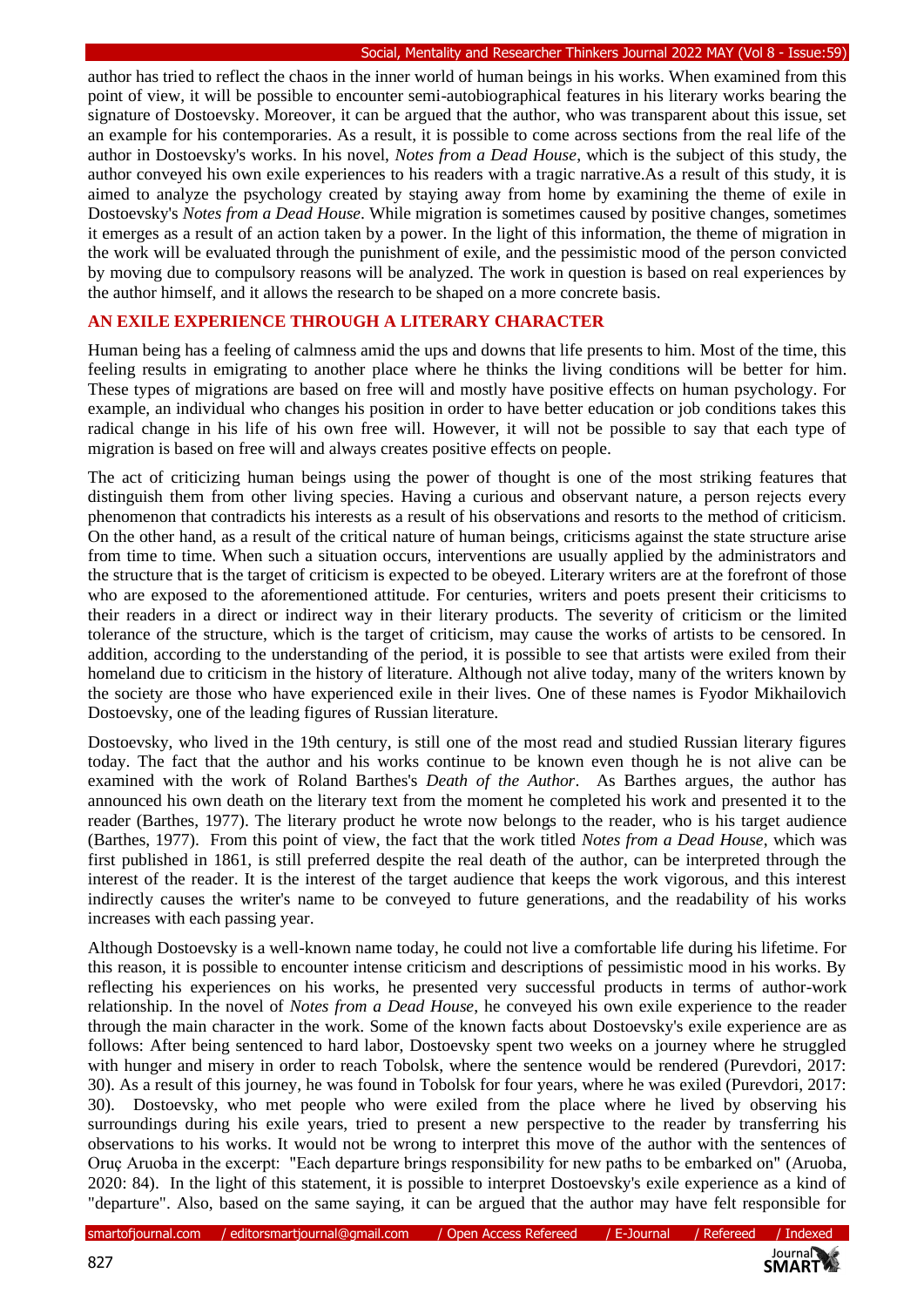author has tried to reflect the chaos in the inner world of human beings in his works. When examined from this point of view, it will be possible to encounter semi-autobiographical features in his literary works bearing the signature of Dostoevsky. Moreover, it can be argued that the author, who was transparent about this issue, set an example for his contemporaries. As a result, it is possible to come across sections from the real life of the author in Dostoevsky's works. In his novel, *Notes from a Dead House*, which is the subject of this study, the author conveyed his own exile experiences to his readers with a tragic narrative.As a result of this study, it is aimed to analyze the psychology created by staying away from home by examining the theme of exile in Dostoevsky's *Notes from a Dead House*. While migration is sometimes caused by positive changes, sometimes it emerges as a result of an action taken by a power. In the light of this information, the theme of migration in the work will be evaluated through the punishment of exile, and the pessimistic mood of the person convicted by moving due to compulsory reasons will be analyzed. The work in question is based on real experiences by the author himself, and it allows the research to be shaped on a more concrete basis.

# **AN EXILE EXPERIENCE THROUGH A LITERARY CHARACTER**

Human being has a feeling of calmness amid the ups and downs that life presents to him. Most of the time, this feeling results in emigrating to another place where he thinks the living conditions will be better for him. These types of migrations are based on free will and mostly have positive effects on human psychology. For example, an individual who changes his position in order to have better education or job conditions takes this radical change in his life of his own free will. However, it will not be possible to say that each type of migration is based on free will and always creates positive effects on people.

The act of criticizing human beings using the power of thought is one of the most striking features that distinguish them from other living species. Having a curious and observant nature, a person rejects every phenomenon that contradicts his interests as a result of his observations and resorts to the method of criticism. On the other hand, as a result of the critical nature of human beings, criticisms against the state structure arise from time to time. When such a situation occurs, interventions are usually applied by the administrators and the structure that is the target of criticism is expected to be obeyed. Literary writers are at the forefront of those who are exposed to the aforementioned attitude. For centuries, writers and poets present their criticisms to their readers in a direct or indirect way in their literary products. The severity of criticism or the limited tolerance of the structure, which is the target of criticism, may cause the works of artists to be censored. In addition, according to the understanding of the period, it is possible to see that artists were exiled from their homeland due to criticism in the history of literature. Although not alive today, many of the writers known by the society are those who have experienced exile in their lives. One of these names is Fyodor Mikhailovich Dostoevsky, one of the leading figures of Russian literature.

Dostoevsky, who lived in the 19th century, is still one of the most read and studied Russian literary figures today. The fact that the author and his works continue to be known even though he is not alive can be examined with the work of Roland Barthes's *Death of the Author*. As Barthes argues, the author has announced his own death on the literary text from the moment he completed his work and presented it to the reader (Barthes, 1977). The literary product he wrote now belongs to the reader, who is his target audience (Barthes, 1977). From this point of view, the fact that the work titled *Notes from a Dead House*, which was first published in 1861, is still preferred despite the real death of the author, can be interpreted through the interest of the reader. It is the interest of the target audience that keeps the work vigorous, and this interest indirectly causes the writer's name to be conveyed to future generations, and the readability of his works increases with each passing year.

Although Dostoevsky is a well-known name today, he could not live a comfortable life during his lifetime. For this reason, it is possible to encounter intense criticism and descriptions of pessimistic mood in his works. By reflecting his experiences on his works, he presented very successful products in terms of author-work relationship. In the novel of *Notes from a Dead House*, he conveyed his own exile experience to the reader through the main character in the work. Some of the known facts about Dostoevsky's exile experience are as follows: After being sentenced to hard labor, Dostoevsky spent two weeks on a journey where he struggled with hunger and misery in order to reach Tobolsk, where the sentence would be rendered (Purevdori, 2017: 30). As a result of this journey, he was found in Tobolsk for four years, where he was exiled (Purevdori, 2017: 30). Dostoevsky, who met people who were exiled from the place where he lived by observing his surroundings during his exile years, tried to present a new perspective to the reader by transferring his observations to his works. It would not be wrong to interpret this move of the author with the sentences of Oruç Aruoba in the excerpt: "Each departure brings responsibility for new paths to be embarked on" (Aruoba, 2020: 84). In the light of this statement, it is possible to interpret Dostoevsky's exile experience as a kind of "departure". Also, based on the same saying, it can be argued that the author may have felt responsible for

smartofjournal.com / editorsmartjournal@gmail.com / Open Access Refereed / E-Journal / Refereed / Indexed

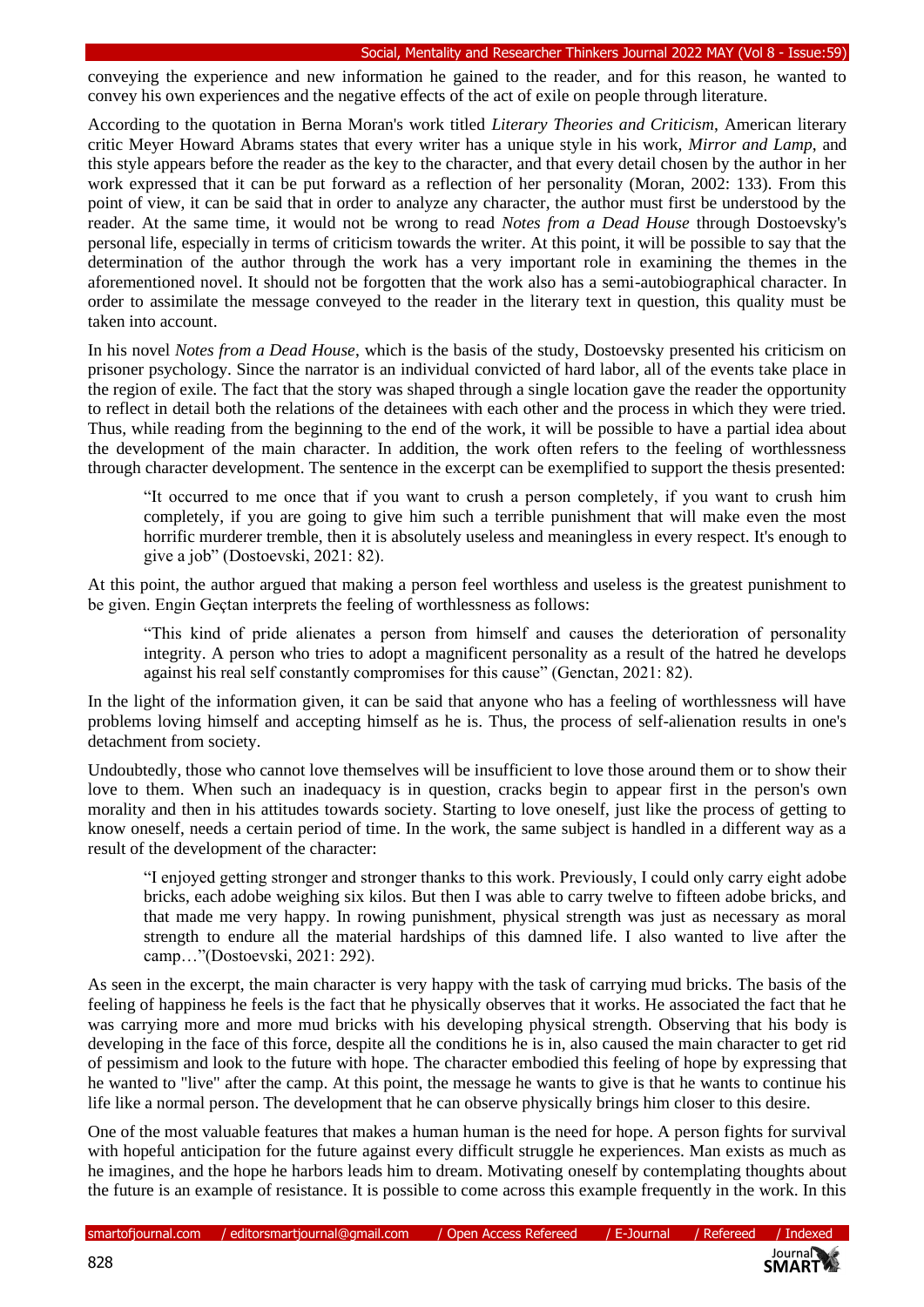#### Social, Mentality and Researcher Thinkers Journal 2022 MAY (Vol 8 - Issue:59)

conveying the experience and new information he gained to the reader, and for this reason, he wanted to convey his own experiences and the negative effects of the act of exile on people through literature.

According to the quotation in Berna Moran's work titled *Literary Theories and Criticism*, American literary critic Meyer Howard Abrams states that every writer has a unique style in his work, *Mirror and Lamp*, and this style appears before the reader as the key to the character, and that every detail chosen by the author in her work expressed that it can be put forward as a reflection of her personality (Moran, 2002: 133). From this point of view, it can be said that in order to analyze any character, the author must first be understood by the reader. At the same time, it would not be wrong to read *Notes from a Dead House* through Dostoevsky's personal life, especially in terms of criticism towards the writer. At this point, it will be possible to say that the determination of the author through the work has a very important role in examining the themes in the aforementioned novel. It should not be forgotten that the work also has a semi-autobiographical character. In order to assimilate the message conveyed to the reader in the literary text in question, this quality must be taken into account.

In his novel *Notes from a Dead House*, which is the basis of the study, Dostoevsky presented his criticism on prisoner psychology. Since the narrator is an individual convicted of hard labor, all of the events take place in the region of exile. The fact that the story was shaped through a single location gave the reader the opportunity to reflect in detail both the relations of the detainees with each other and the process in which they were tried. Thus, while reading from the beginning to the end of the work, it will be possible to have a partial idea about the development of the main character. In addition, the work often refers to the feeling of worthlessness through character development. The sentence in the excerpt can be exemplified to support the thesis presented:

"It occurred to me once that if you want to crush a person completely, if you want to crush him completely, if you are going to give him such a terrible punishment that will make even the most horrific murderer tremble, then it is absolutely useless and meaningless in every respect. It's enough to give a job" (Dostoevski, 2021: 82).

At this point, the author argued that making a person feel worthless and useless is the greatest punishment to be given. Engin Geçtan interprets the feeling of worthlessness as follows:

"This kind of pride alienates a person from himself and causes the deterioration of personality integrity. A person who tries to adopt a magnificent personality as a result of the hatred he develops against his real self constantly compromises for this cause" (Genctan, 2021: 82).

In the light of the information given, it can be said that anyone who has a feeling of worthlessness will have problems loving himself and accepting himself as he is. Thus, the process of self-alienation results in one's detachment from society.

Undoubtedly, those who cannot love themselves will be insufficient to love those around them or to show their love to them. When such an inadequacy is in question, cracks begin to appear first in the person's own morality and then in his attitudes towards society. Starting to love oneself, just like the process of getting to know oneself, needs a certain period of time. In the work, the same subject is handled in a different way as a result of the development of the character:

"I enjoyed getting stronger and stronger thanks to this work. Previously, I could only carry eight adobe bricks, each adobe weighing six kilos. But then I was able to carry twelve to fifteen adobe bricks, and that made me very happy. In rowing punishment, physical strength was just as necessary as moral strength to endure all the material hardships of this damned life. I also wanted to live after the camp…"(Dostoevski, 2021: 292).

As seen in the excerpt, the main character is very happy with the task of carrying mud bricks. The basis of the feeling of happiness he feels is the fact that he physically observes that it works. He associated the fact that he was carrying more and more mud bricks with his developing physical strength. Observing that his body is developing in the face of this force, despite all the conditions he is in, also caused the main character to get rid of pessimism and look to the future with hope. The character embodied this feeling of hope by expressing that he wanted to "live" after the camp. At this point, the message he wants to give is that he wants to continue his life like a normal person. The development that he can observe physically brings him closer to this desire.

One of the most valuable features that makes a human human is the need for hope. A person fights for survival with hopeful anticipation for the future against every difficult struggle he experiences. Man exists as much as he imagines, and the hope he harbors leads him to dream. Motivating oneself by contemplating thoughts about the future is an example of resistance. It is possible to come across this example frequently in the work. In this

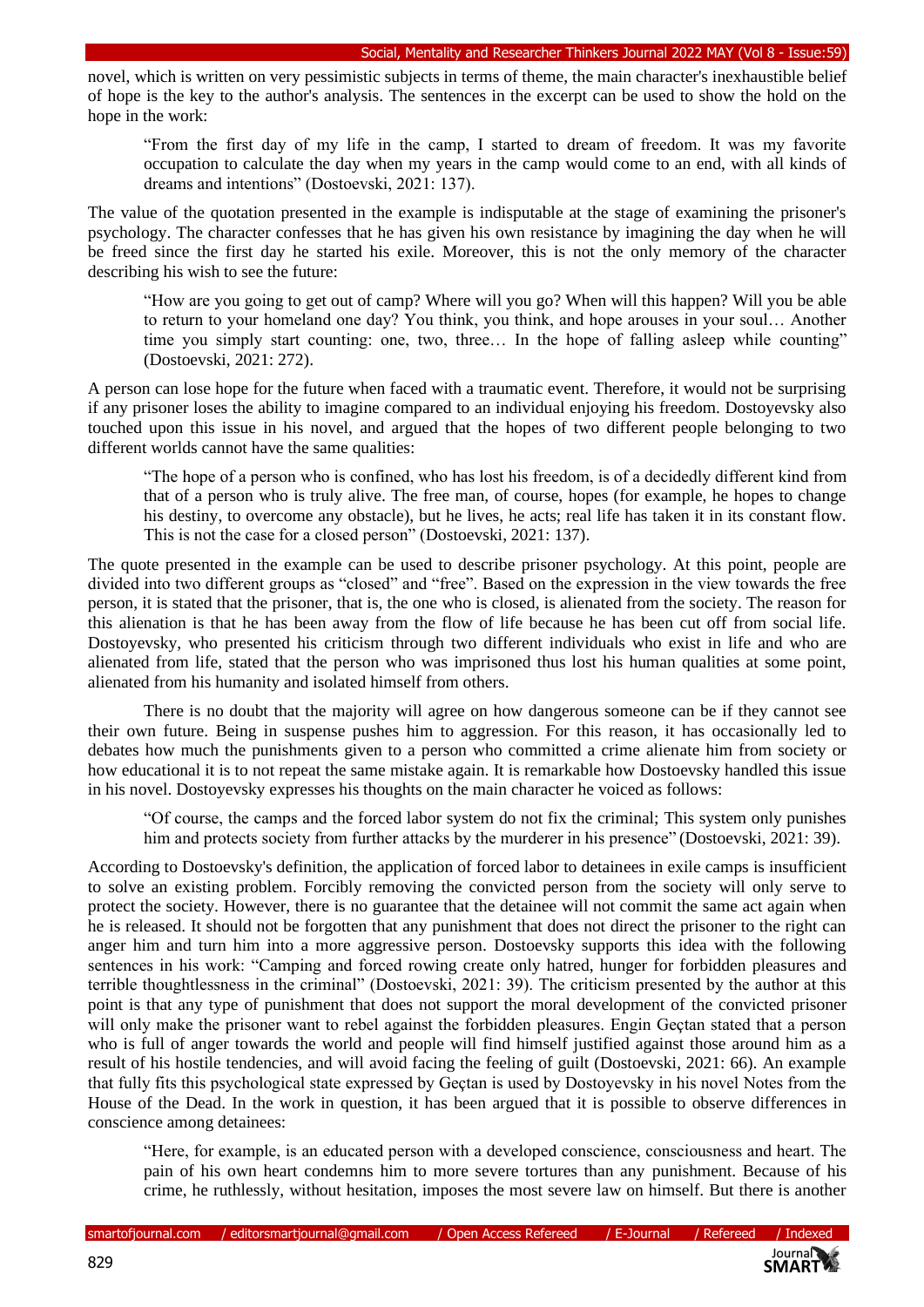novel, which is written on very pessimistic subjects in terms of theme, the main character's inexhaustible belief of hope is the key to the author's analysis. The sentences in the excerpt can be used to show the hold on the hope in the work:

"From the first day of my life in the camp, I started to dream of freedom. It was my favorite occupation to calculate the day when my years in the camp would come to an end, with all kinds of dreams and intentions" (Dostoevski, 2021: 137).

The value of the quotation presented in the example is indisputable at the stage of examining the prisoner's psychology. The character confesses that he has given his own resistance by imagining the day when he will be freed since the first day he started his exile. Moreover, this is not the only memory of the character describing his wish to see the future:

"How are you going to get out of camp? Where will you go? When will this happen? Will you be able to return to your homeland one day? You think, you think, and hope arouses in your soul… Another time you simply start counting: one, two, three… In the hope of falling asleep while counting" (Dostoevski, 2021: 272).

A person can lose hope for the future when faced with a traumatic event. Therefore, it would not be surprising if any prisoner loses the ability to imagine compared to an individual enjoying his freedom. Dostoyevsky also touched upon this issue in his novel, and argued that the hopes of two different people belonging to two different worlds cannot have the same qualities:

"The hope of a person who is confined, who has lost his freedom, is of a decidedly different kind from that of a person who is truly alive. The free man, of course, hopes (for example, he hopes to change his destiny, to overcome any obstacle), but he lives, he acts; real life has taken it in its constant flow. This is not the case for a closed person" (Dostoevski, 2021: 137).

The quote presented in the example can be used to describe prisoner psychology. At this point, people are divided into two different groups as "closed" and "free". Based on the expression in the view towards the free person, it is stated that the prisoner, that is, the one who is closed, is alienated from the society. The reason for this alienation is that he has been away from the flow of life because he has been cut off from social life. Dostoyevsky, who presented his criticism through two different individuals who exist in life and who are alienated from life, stated that the person who was imprisoned thus lost his human qualities at some point, alienated from his humanity and isolated himself from others.

There is no doubt that the majority will agree on how dangerous someone can be if they cannot see their own future. Being in suspense pushes him to aggression. For this reason, it has occasionally led to debates how much the punishments given to a person who committed a crime alienate him from society or how educational it is to not repeat the same mistake again. It is remarkable how Dostoevsky handled this issue in his novel. Dostoyevsky expresses his thoughts on the main character he voiced as follows:

"Of course, the camps and the forced labor system do not fix the criminal; This system only punishes him and protects society from further attacks by the murderer in his presence" (Dostoevski, 2021: 39).

According to Dostoevsky's definition, the application of forced labor to detainees in exile camps is insufficient to solve an existing problem. Forcibly removing the convicted person from the society will only serve to protect the society. However, there is no guarantee that the detainee will not commit the same act again when he is released. It should not be forgotten that any punishment that does not direct the prisoner to the right can anger him and turn him into a more aggressive person. Dostoevsky supports this idea with the following sentences in his work: "Camping and forced rowing create only hatred, hunger for forbidden pleasures and terrible thoughtlessness in the criminal" (Dostoevski, 2021: 39). The criticism presented by the author at this point is that any type of punishment that does not support the moral development of the convicted prisoner will only make the prisoner want to rebel against the forbidden pleasures. Engin Geçtan stated that a person who is full of anger towards the world and people will find himself justified against those around him as a result of his hostile tendencies, and will avoid facing the feeling of guilt (Dostoevski, 2021: 66). An example that fully fits this psychological state expressed by Geçtan is used by Dostoyevsky in his novel Notes from the House of the Dead. In the work in question, it has been argued that it is possible to observe differences in conscience among detainees:

"Here, for example, is an educated person with a developed conscience, consciousness and heart. The pain of his own heart condemns him to more severe tortures than any punishment. Because of his crime, he ruthlessly, without hesitation, imposes the most severe law on himself. But there is another

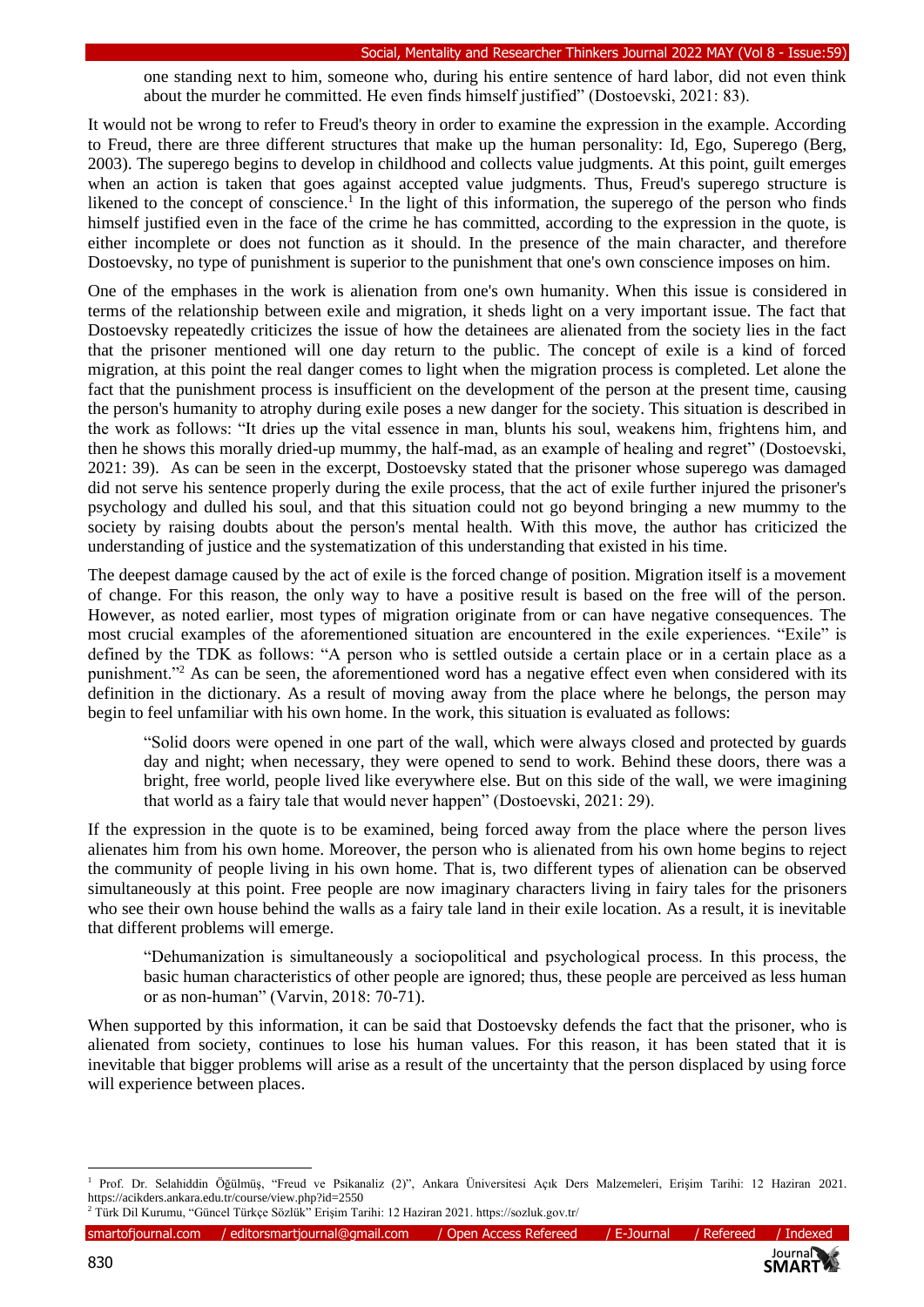one standing next to him, someone who, during his entire sentence of hard labor, did not even think about the murder he committed. He even finds himself justified" (Dostoevski, 2021: 83).

It would not be wrong to refer to Freud's theory in order to examine the expression in the example. According to Freud, there are three different structures that make up the human personality: Id, Ego, Superego (Berg, 2003). The superego begins to develop in childhood and collects value judgments. At this point, guilt emerges when an action is taken that goes against accepted value judgments. Thus, Freud's superego structure is likened to the concept of conscience.<sup>1</sup> In the light of this information, the superego of the person who finds himself justified even in the face of the crime he has committed, according to the expression in the quote, is either incomplete or does not function as it should. In the presence of the main character, and therefore Dostoevsky, no type of punishment is superior to the punishment that one's own conscience imposes on him.

One of the emphases in the work is alienation from one's own humanity. When this issue is considered in terms of the relationship between exile and migration, it sheds light on a very important issue. The fact that Dostoevsky repeatedly criticizes the issue of how the detainees are alienated from the society lies in the fact that the prisoner mentioned will one day return to the public. The concept of exile is a kind of forced migration, at this point the real danger comes to light when the migration process is completed. Let alone the fact that the punishment process is insufficient on the development of the person at the present time, causing the person's humanity to atrophy during exile poses a new danger for the society. This situation is described in the work as follows: "It dries up the vital essence in man, blunts his soul, weakens him, frightens him, and then he shows this morally dried-up mummy, the half-mad, as an example of healing and regret" (Dostoevski, 2021: 39). As can be seen in the excerpt, Dostoevsky stated that the prisoner whose superego was damaged did not serve his sentence properly during the exile process, that the act of exile further injured the prisoner's psychology and dulled his soul, and that this situation could not go beyond bringing a new mummy to the society by raising doubts about the person's mental health. With this move, the author has criticized the understanding of justice and the systematization of this understanding that existed in his time.

The deepest damage caused by the act of exile is the forced change of position. Migration itself is a movement of change. For this reason, the only way to have a positive result is based on the free will of the person. However, as noted earlier, most types of migration originate from or can have negative consequences. The most crucial examples of the aforementioned situation are encountered in the exile experiences. "Exile" is defined by the TDK as follows: "A person who is settled outside a certain place or in a certain place as a punishment."<sup>2</sup> As can be seen, the aforementioned word has a negative effect even when considered with its definition in the dictionary. As a result of moving away from the place where he belongs, the person may begin to feel unfamiliar with his own home. In the work, this situation is evaluated as follows:

"Solid doors were opened in one part of the wall, which were always closed and protected by guards day and night; when necessary, they were opened to send to work. Behind these doors, there was a bright, free world, people lived like everywhere else. But on this side of the wall, we were imagining that world as a fairy tale that would never happen" (Dostoevski, 2021: 29).

If the expression in the quote is to be examined, being forced away from the place where the person lives alienates him from his own home. Moreover, the person who is alienated from his own home begins to reject the community of people living in his own home. That is, two different types of alienation can be observed simultaneously at this point. Free people are now imaginary characters living in fairy tales for the prisoners who see their own house behind the walls as a fairy tale land in their exile location. As a result, it is inevitable that different problems will emerge.

"Dehumanization is simultaneously a sociopolitical and psychological process. In this process, the basic human characteristics of other people are ignored; thus, these people are perceived as less human or as non-human" (Varvin, 2018: 70-71).

When supported by this information, it can be said that Dostoevsky defends the fact that the prisoner, who is alienated from society, continues to lose his human values. For this reason, it has been stated that it is inevitable that bigger problems will arise as a result of the uncertainty that the person displaced by using force will experience between places.



<sup>1</sup> Prof. Dr. Selahiddin Öğülmüş, "Freud ve Psikanaliz (2)", Ankara Üniversitesi Açık Ders Malzemeleri, Erişim Tarihi: 12 Haziran 2021. https://acikders.ankara.edu.tr/course/view.php?id=2550 <sup>2</sup> Türk Dil Kurumu, "Güncel Türkçe Sözlük" Erişim Tarihi: 12 Haziran 2021. https://sozluk.gov.tr/

smartofjournal.com / editorsmartjournal@gmail.com / Open Access Refereed / E-Journal / Refereed / Indexed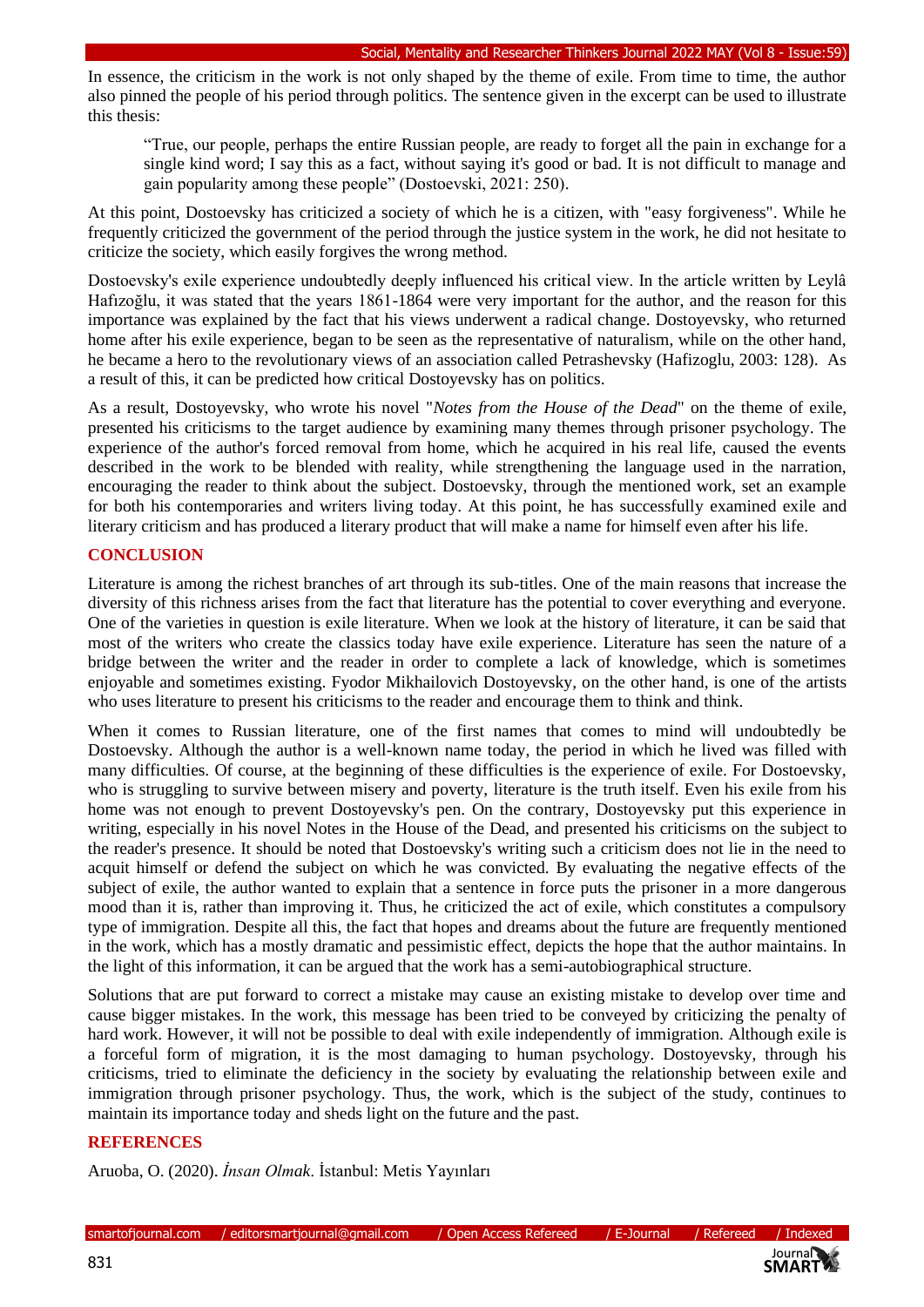In essence, the criticism in the work is not only shaped by the theme of exile. From time to time, the author also pinned the people of his period through politics. The sentence given in the excerpt can be used to illustrate this thesis:

"True, our people, perhaps the entire Russian people, are ready to forget all the pain in exchange for a single kind word; I say this as a fact, without saying it's good or bad. It is not difficult to manage and gain popularity among these people" (Dostoevski, 2021: 250).

At this point, Dostoevsky has criticized a society of which he is a citizen, with "easy forgiveness". While he frequently criticized the government of the period through the justice system in the work, he did not hesitate to criticize the society, which easily forgives the wrong method.

Dostoevsky's exile experience undoubtedly deeply influenced his critical view. In the article written by Leylâ Hafızoğlu, it was stated that the years 1861-1864 were very important for the author, and the reason for this importance was explained by the fact that his views underwent a radical change. Dostoyevsky, who returned home after his exile experience, began to be seen as the representative of naturalism, while on the other hand, he became a hero to the revolutionary views of an association called Petrashevsky (Hafizoglu, 2003: 128). As a result of this, it can be predicted how critical Dostoyevsky has on politics.

As a result, Dostoyevsky, who wrote his novel "*Notes from the House of the Dead*" on the theme of exile, presented his criticisms to the target audience by examining many themes through prisoner psychology. The experience of the author's forced removal from home, which he acquired in his real life, caused the events described in the work to be blended with reality, while strengthening the language used in the narration, encouraging the reader to think about the subject. Dostoevsky, through the mentioned work, set an example for both his contemporaries and writers living today. At this point, he has successfully examined exile and literary criticism and has produced a literary product that will make a name for himself even after his life.

## **CONCLUSION**

Literature is among the richest branches of art through its sub-titles. One of the main reasons that increase the diversity of this richness arises from the fact that literature has the potential to cover everything and everyone. One of the varieties in question is exile literature. When we look at the history of literature, it can be said that most of the writers who create the classics today have exile experience. Literature has seen the nature of a bridge between the writer and the reader in order to complete a lack of knowledge, which is sometimes enjoyable and sometimes existing. Fyodor Mikhailovich Dostoyevsky, on the other hand, is one of the artists who uses literature to present his criticisms to the reader and encourage them to think and think.

When it comes to Russian literature, one of the first names that comes to mind will undoubtedly be Dostoevsky. Although the author is a well-known name today, the period in which he lived was filled with many difficulties. Of course, at the beginning of these difficulties is the experience of exile. For Dostoevsky, who is struggling to survive between misery and poverty, literature is the truth itself. Even his exile from his home was not enough to prevent Dostoyevsky's pen. On the contrary, Dostoyevsky put this experience in writing, especially in his novel Notes in the House of the Dead, and presented his criticisms on the subject to the reader's presence. It should be noted that Dostoevsky's writing such a criticism does not lie in the need to acquit himself or defend the subject on which he was convicted. By evaluating the negative effects of the subject of exile, the author wanted to explain that a sentence in force puts the prisoner in a more dangerous mood than it is, rather than improving it. Thus, he criticized the act of exile, which constitutes a compulsory type of immigration. Despite all this, the fact that hopes and dreams about the future are frequently mentioned in the work, which has a mostly dramatic and pessimistic effect, depicts the hope that the author maintains. In the light of this information, it can be argued that the work has a semi-autobiographical structure.

Solutions that are put forward to correct a mistake may cause an existing mistake to develop over time and cause bigger mistakes. In the work, this message has been tried to be conveyed by criticizing the penalty of hard work. However, it will not be possible to deal with exile independently of immigration. Although exile is a forceful form of migration, it is the most damaging to human psychology. Dostoyevsky, through his criticisms, tried to eliminate the deficiency in the society by evaluating the relationship between exile and immigration through prisoner psychology. Thus, the work, which is the subject of the study, continues to maintain its importance today and sheds light on the future and the past.

### **REFERENCES**

Aruoba, O. (2020). *İnsan Olmak*. İstanbul: Metis Yayınları